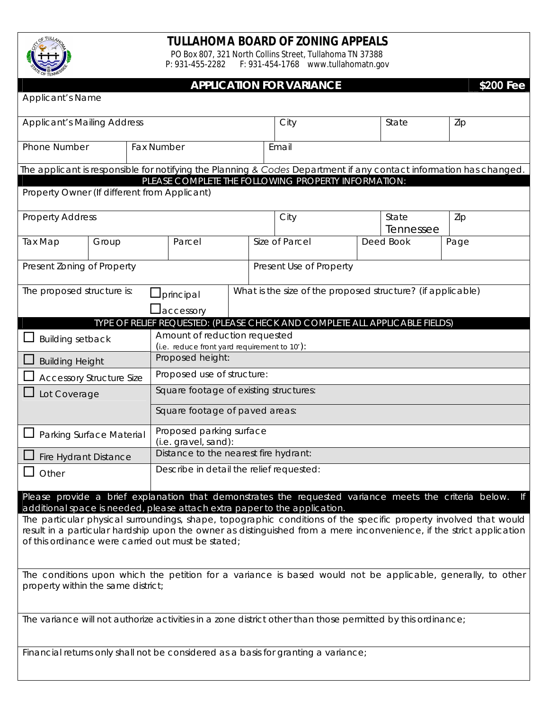

## **TULLAHOMA BOARD OF ZONING APPEALS**

PO Box 807, 321 North Collins Street, Tullahoma TN 37388 P: 931-455-2282 F: 931-454-1768 www.tullahomatn.gov

## **APPLICATION FOR VARIANCE \$200 Fee**

| <b>Applicant's Name</b>                                                                                                                                                                                                                                                                        |                                    |  |                                                                               |      |                                                                             |       |                    |                                                                                                                    |  |  |
|------------------------------------------------------------------------------------------------------------------------------------------------------------------------------------------------------------------------------------------------------------------------------------------------|------------------------------------|--|-------------------------------------------------------------------------------|------|-----------------------------------------------------------------------------|-------|--------------------|--------------------------------------------------------------------------------------------------------------------|--|--|
| <b>Applicant's Mailing Address</b>                                                                                                                                                                                                                                                             |                                    |  |                                                                               | City |                                                                             | State | Zip                |                                                                                                                    |  |  |
|                                                                                                                                                                                                                                                                                                | Phone Number                       |  | <b>Fax Number</b>                                                             |      | Email                                                                       |       |                    |                                                                                                                    |  |  |
|                                                                                                                                                                                                                                                                                                |                                    |  |                                                                               |      |                                                                             |       |                    | The applicant is responsible for notifying the Planning & Codes Department if any contact information has changed. |  |  |
| PLEASE COMPLETE THE FOLLOWING PROPERTY INFORMATION:<br>Property Owner (If different from Applicant)                                                                                                                                                                                            |                                    |  |                                                                               |      |                                                                             |       |                    |                                                                                                                    |  |  |
| <b>Property Address</b>                                                                                                                                                                                                                                                                        |                                    |  |                                                                               |      | City                                                                        |       | State<br>Tennessee | Zip                                                                                                                |  |  |
| Tax Map                                                                                                                                                                                                                                                                                        | Group                              |  | Parcel                                                                        |      | Size of Parcel                                                              |       | Deed Book          | Page                                                                                                               |  |  |
| Present Zoning of Property                                                                                                                                                                                                                                                                     |                                    |  |                                                                               |      | Present Use of Property                                                     |       |                    |                                                                                                                    |  |  |
| The proposed structure is:                                                                                                                                                                                                                                                                     |                                    |  | What is the size of the proposed structure? (if applicable)<br>principal      |      |                                                                             |       |                    |                                                                                                                    |  |  |
|                                                                                                                                                                                                                                                                                                |                                    |  | laccessory                                                                    |      |                                                                             |       |                    |                                                                                                                    |  |  |
|                                                                                                                                                                                                                                                                                                |                                    |  |                                                                               |      | TYPE OF RELIEF REQUESTED: (PLEASE CHECK AND COMPLETE ALL APPLICABLE FIELDS) |       |                    |                                                                                                                    |  |  |
| <b>Building setback</b>                                                                                                                                                                                                                                                                        |                                    |  | Amount of reduction requested<br>(i.e. reduce front yard requirement to 10'): |      |                                                                             |       |                    |                                                                                                                    |  |  |
| <b>Building Height</b>                                                                                                                                                                                                                                                                         |                                    |  | Proposed height:                                                              |      |                                                                             |       |                    |                                                                                                                    |  |  |
| <b>Accessory Structure Size</b>                                                                                                                                                                                                                                                                |                                    |  | Proposed use of structure:                                                    |      |                                                                             |       |                    |                                                                                                                    |  |  |
| Lot Coverage                                                                                                                                                                                                                                                                                   |                                    |  | Square footage of existing structures:                                        |      |                                                                             |       |                    |                                                                                                                    |  |  |
|                                                                                                                                                                                                                                                                                                | Square footage of paved areas:     |  |                                                                               |      |                                                                             |       |                    |                                                                                                                    |  |  |
| Parking Surface Material                                                                                                                                                                                                                                                                       |                                    |  | Proposed parking surface<br>(i.e. gravel, sand):                              |      |                                                                             |       |                    |                                                                                                                    |  |  |
| <b>Fire Hydrant Distance</b>                                                                                                                                                                                                                                                                   |                                    |  | Distance to the nearest fire hydrant:                                         |      |                                                                             |       |                    |                                                                                                                    |  |  |
| Other                                                                                                                                                                                                                                                                                          |                                    |  | Describe in detail the relief requested:                                      |      |                                                                             |       |                    |                                                                                                                    |  |  |
|                                                                                                                                                                                                                                                                                                |                                    |  |                                                                               |      |                                                                             |       |                    | Please provide a brief explanation that demonstrates the requested variance meets the criteria below. If           |  |  |
| additional space is needed, please attach extra paper to the application.                                                                                                                                                                                                                      |                                    |  |                                                                               |      |                                                                             |       |                    |                                                                                                                    |  |  |
| The particular physical surroundings, shape, topographic conditions of the specific property involved that would<br>result in a particular hardship upon the owner as distinguished from a mere inconvenience, if the strict application<br>of this ordinance were carried out must be stated; |                                    |  |                                                                               |      |                                                                             |       |                    |                                                                                                                    |  |  |
|                                                                                                                                                                                                                                                                                                |                                    |  |                                                                               |      |                                                                             |       |                    |                                                                                                                    |  |  |
|                                                                                                                                                                                                                                                                                                |                                    |  |                                                                               |      |                                                                             |       |                    | The conditions upon which the petition for a variance is based would not be applicable, generally, to other        |  |  |
|                                                                                                                                                                                                                                                                                                | property within the same district; |  |                                                                               |      |                                                                             |       |                    |                                                                                                                    |  |  |
| The variance will not authorize activities in a zone district other than those permitted by this ordinance;                                                                                                                                                                                    |                                    |  |                                                                               |      |                                                                             |       |                    |                                                                                                                    |  |  |
|                                                                                                                                                                                                                                                                                                |                                    |  |                                                                               |      |                                                                             |       |                    |                                                                                                                    |  |  |
| Financial returns only shall not be considered as a basis for granting a variance;                                                                                                                                                                                                             |                                    |  |                                                                               |      |                                                                             |       |                    |                                                                                                                    |  |  |